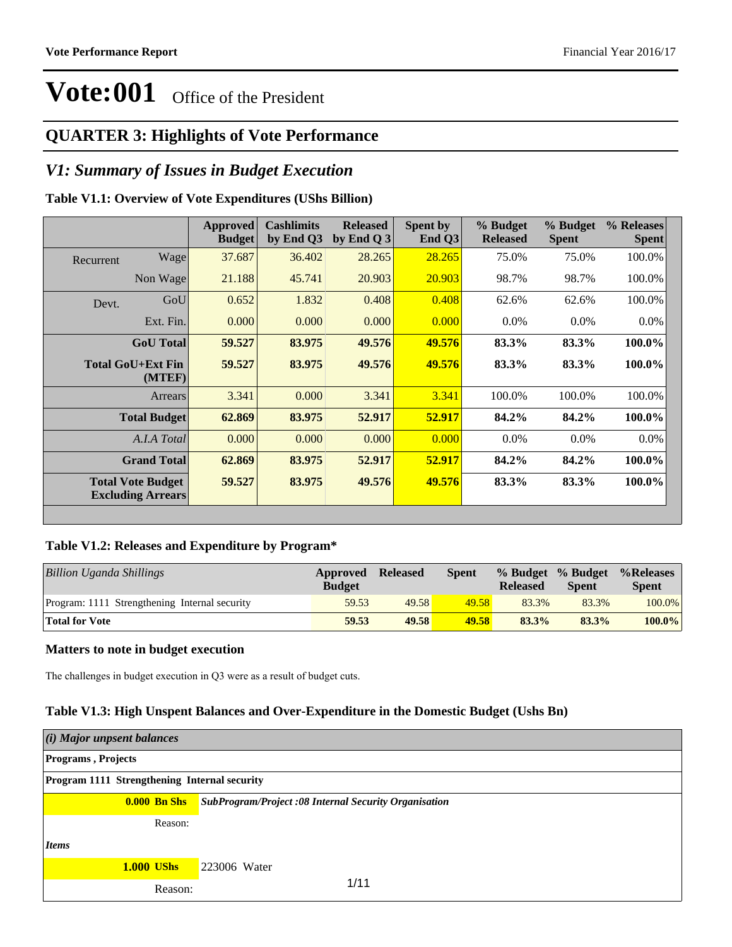#### **QUARTER 3: Highlights of Vote Performance**

#### *V1: Summary of Issues in Budget Execution*

#### **Table V1.1: Overview of Vote Expenditures (UShs Billion)**

|           |                                                      | Approved<br><b>Budget</b> | <b>Cashlimits</b><br>by End Q3 | <b>Released</b><br>by End Q $3$ | Spent by<br>End Q3 | % Budget<br><b>Released</b> | % Budget<br><b>Spent</b> | % Releases<br><b>Spent</b> |
|-----------|------------------------------------------------------|---------------------------|--------------------------------|---------------------------------|--------------------|-----------------------------|--------------------------|----------------------------|
| Recurrent | Wage                                                 | 37.687                    | 36.402                         | 28.265                          | 28.265             | 75.0%                       | 75.0%                    | 100.0%                     |
|           | Non Wage                                             | 21.188                    | 45.741                         | 20.903                          | 20.903             | 98.7%                       | 98.7%                    | 100.0%                     |
| Devt.     | GoU                                                  | 0.652                     | 1.832                          | 0.408                           | 0.408              | 62.6%                       | 62.6%                    | 100.0%                     |
|           | Ext. Fin.                                            | 0.000                     | 0.000                          | 0.000                           | 0.000              | $0.0\%$                     | $0.0\%$                  | $0.0\%$                    |
|           | <b>GoU</b> Total                                     | 59.527                    | 83.975                         | 49.576                          | 49.576             | 83.3%                       | 83.3%                    | 100.0%                     |
|           | <b>Total GoU+Ext Fin</b><br>(MTEF)                   | 59.527                    | 83.975                         | 49.576                          | 49.576             | 83.3%                       | 83.3%                    | 100.0%                     |
|           | Arrears                                              | 3.341                     | 0.000                          | 3.341                           | 3.341              | 100.0%                      | 100.0%                   | 100.0%                     |
|           | <b>Total Budget</b>                                  | 62.869                    | 83.975                         | 52.917                          | 52.917             | 84.2%                       | 84.2%                    | 100.0%                     |
|           | A.I.A Total                                          | 0.000                     | 0.000                          | 0.000                           | 0.000              | $0.0\%$                     | $0.0\%$                  | $0.0\%$                    |
|           | <b>Grand Total</b>                                   | 62.869                    | 83.975                         | 52.917                          | 52.917             | 84.2%                       | 84.2%                    | 100.0%                     |
|           | <b>Total Vote Budget</b><br><b>Excluding Arrears</b> | 59.527                    | 83.975                         | 49.576                          | 49.576             | 83.3%                       | 83.3%                    | 100.0%                     |

#### **Table V1.2: Releases and Expenditure by Program\***

| Billion Uganda Shillings                      | Approved<br><b>Budget</b> | <b>Released</b> | <b>Spent</b> | <b>Released</b> | % Budget % Budget<br><b>Spent</b> | %Releases<br><b>Spent</b> |
|-----------------------------------------------|---------------------------|-----------------|--------------|-----------------|-----------------------------------|---------------------------|
| Program: 1111 Strengthening Internal security | 59.53                     | 49.58           | 49.58        | 83.3%           | 83.3%                             | 100.0%                    |
| <b>Total for Vote</b>                         | 59.53                     | 49.58           | 49.58        | 83.3%           | 83.3%                             | $100.0\%$                 |

#### **Matters to note in budget execution**

The challenges in budget execution in Q3 were as a result of budget cuts.

#### **Table V1.3: High Unspent Balances and Over-Expenditure in the Domestic Budget (Ushs Bn)**

| (i) Major unpsent balances                          |                                                              |
|-----------------------------------------------------|--------------------------------------------------------------|
| <b>Programs</b> , Projects                          |                                                              |
| <b>Program 1111 Strengthening Internal security</b> |                                                              |
| <b>0.000 Bn Shs</b>                                 | <b>SubProgram/Project :08 Internal Security Organisation</b> |
| Reason:                                             |                                                              |
| <i>Items</i>                                        |                                                              |
| <b>1.000 UShs</b>                                   | 223006 Water                                                 |
| Reason:                                             | 1/11                                                         |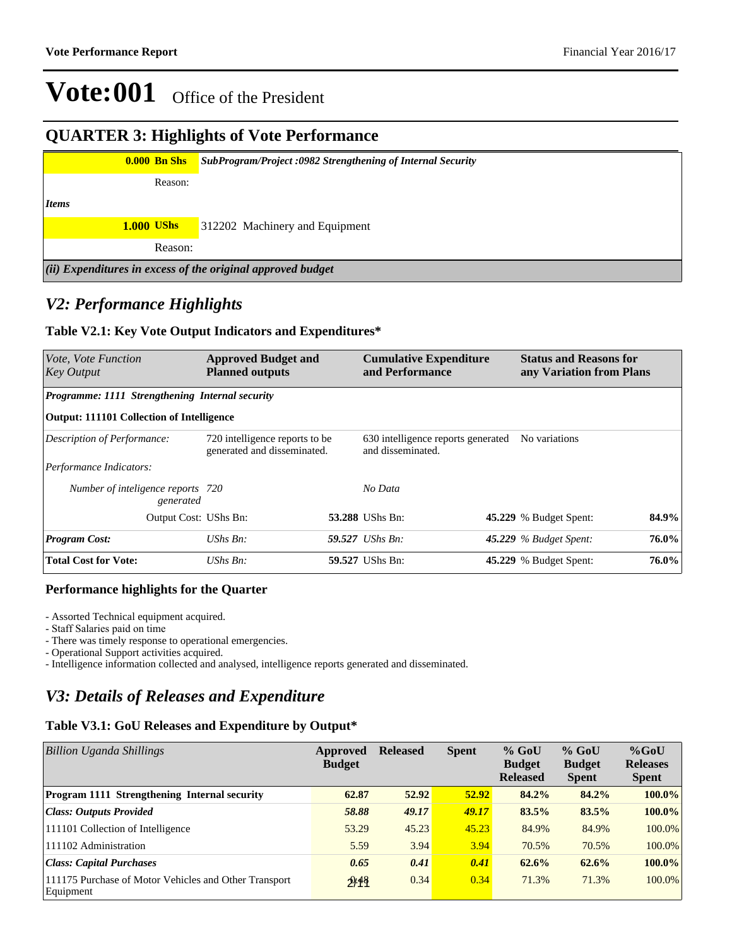#### **QUARTER 3: Highlights of Vote Performance**

|              | <b>0.000 Bn Shs</b> |         | SubProgram/Project:0982 Strengthening of Internal Security  |
|--------------|---------------------|---------|-------------------------------------------------------------|
|              |                     | Reason: |                                                             |
| <i>Items</i> |                     |         |                                                             |
|              | <b>1.000 UShs</b>   |         | 312202 Machinery and Equipment                              |
|              |                     | Reason: |                                                             |
|              |                     |         | (ii) Expenditures in excess of the original approved budget |

#### *V2: Performance Highlights*

#### **Table V2.1: Key Vote Output Indicators and Expenditures\***

| Vote, Vote Function<br>Key Output                | <b>Approved Budget and</b><br><b>Planned outputs</b>          |  | <b>Cumulative Expenditure</b><br>and Performance        |  | <b>Status and Reasons for</b><br>any Variation from Plans |       |
|--------------------------------------------------|---------------------------------------------------------------|--|---------------------------------------------------------|--|-----------------------------------------------------------|-------|
| Programme: 1111 Strengthening Internal security  |                                                               |  |                                                         |  |                                                           |       |
| <b>Output: 111101 Collection of Intelligence</b> |                                                               |  |                                                         |  |                                                           |       |
| Description of Performance:                      | 720 intelligence reports to be<br>generated and disseminated. |  | 630 intelligence reports generated<br>and disseminated. |  | No variations                                             |       |
| Performance Indicators:                          |                                                               |  |                                                         |  |                                                           |       |
| Number of inteligence reports 720<br>generated   |                                                               |  | No Data                                                 |  |                                                           |       |
| Output Cost: UShs Bn:                            |                                                               |  | 53.288 UShs Bn:                                         |  | <b>45.229</b> % Budget Spent:                             | 84.9% |
| <b>Program Cost:</b>                             | $UShs Bn$ :                                                   |  | 59.527 UShs Bn:                                         |  | 45.229 % Budget Spent:                                    | 76.0% |
| <b>Total Cost for Vote:</b>                      | $UShs Bn$ :                                                   |  | 59.527 UShs Bn:                                         |  | 45.229 % Budget Spent:                                    | 76.0% |

#### **Performance highlights for the Quarter**

- Assorted Technical equipment acquired.

- Staff Salaries paid on time

- There was timely response to operational emergencies.

- Operational Support activities acquired.

- Intelligence information collected and analysed, intelligence reports generated and disseminated.

### *V3: Details of Releases and Expenditure*

#### **Table V3.1: GoU Releases and Expenditure by Output\***

| Billion Uganda Shillings                                           | Approved<br><b>Budget</b> | <b>Released</b> | <b>Spent</b> | $%$ GoU<br><b>Budget</b><br><b>Released</b> | $%$ GoU<br><b>Budget</b><br><b>Spent</b> | $%$ GoU<br><b>Releases</b><br><b>Spent</b> |
|--------------------------------------------------------------------|---------------------------|-----------------|--------------|---------------------------------------------|------------------------------------------|--------------------------------------------|
| <b>Program 1111 Strengthening Internal security</b>                | 62.87                     | 52.92           | 52.92        | 84.2%                                       | 84.2%                                    | $100.0\%$                                  |
| <b>Class: Outputs Provided</b>                                     | 58.88                     | 49.17           | 49.17        | 83.5%                                       | 83.5%                                    | $100.0\%$                                  |
| 111101 Collection of Intelligence                                  | 53.29                     | 45.23           | 45.23        | 84.9%                                       | 84.9%                                    | 100.0%                                     |
| 111102 Administration                                              | 5.59                      | 3.94            | 3.94         | 70.5%                                       | 70.5%                                    | 100.0%                                     |
| Class: Capital Purchases                                           | 0.65                      | 0.41            | 0.41         | 62.6%                                       | 62.6%                                    | $100.0\%$                                  |
| 111175 Purchase of Motor Vehicles and Other Transport<br>Equipment | 2/18                      | 0.34            | 0.34         | 71.3%                                       | 71.3%                                    | $100.0\%$                                  |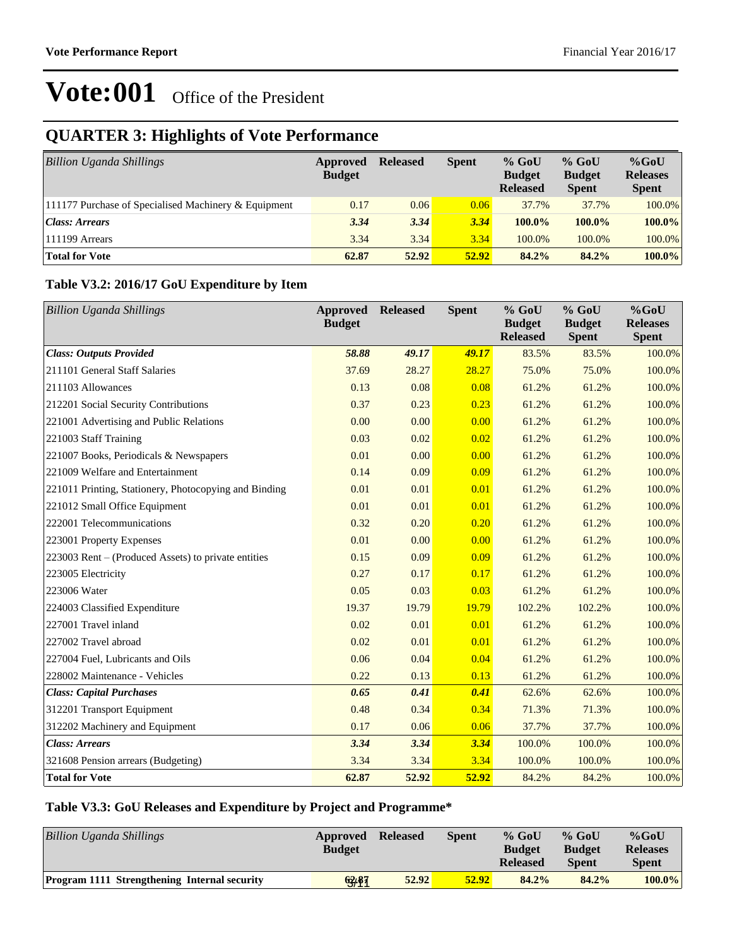## **QUARTER 3: Highlights of Vote Performance**

| Billion Uganda Shillings                             | Approved<br><b>Budget</b> | <b>Released</b> | <b>Spent</b> | $%$ GoU<br><b>Budget</b><br><b>Released</b> | $%$ GoU<br><b>Budget</b><br><b>Spent</b> | $%$ GoU<br><b>Releases</b><br><b>Spent</b> |
|------------------------------------------------------|---------------------------|-----------------|--------------|---------------------------------------------|------------------------------------------|--------------------------------------------|
| 111177 Purchase of Specialised Machinery & Equipment | 0.17                      | 0.06            | 0.06         | 37.7%                                       | 37.7%                                    | 100.0%                                     |
| <b>Class: Arrears</b>                                | 3.34                      | 3.34            | 3.34         | $100.0\%$                                   | $100.0\%$                                | 100.0%                                     |
| 111199 Arrears                                       | 3.34                      | 3.34            | 3.34         | 100.0%                                      | 100.0%                                   | 100.0%                                     |
| <b>Total for Vote</b>                                | 62.87                     | 52.92           | 52.92        | 84.2%                                       | 84.2%                                    | 100.0%                                     |

#### **Table V3.2: 2016/17 GoU Expenditure by Item**

| <b>Billion Uganda Shillings</b>                       | Approved<br><b>Budget</b> | <b>Released</b> | <b>Spent</b> | % GoU<br><b>Budget</b><br><b>Released</b> | $%$ GoU<br><b>Budget</b><br><b>Spent</b> | %GoU<br><b>Releases</b><br><b>Spent</b> |
|-------------------------------------------------------|---------------------------|-----------------|--------------|-------------------------------------------|------------------------------------------|-----------------------------------------|
| <b>Class: Outputs Provided</b>                        | 58.88                     | 49.17           | 49.17        | 83.5%                                     | 83.5%                                    | 100.0%                                  |
| 211101 General Staff Salaries                         | 37.69                     | 28.27           | 28.27        | 75.0%                                     | 75.0%                                    | 100.0%                                  |
| 211103 Allowances                                     | 0.13                      | 0.08            | 0.08         | 61.2%                                     | 61.2%                                    | 100.0%                                  |
| 212201 Social Security Contributions                  | 0.37                      | 0.23            | 0.23         | 61.2%                                     | 61.2%                                    | 100.0%                                  |
| 221001 Advertising and Public Relations               | 0.00                      | 0.00            | 0.00         | 61.2%                                     | 61.2%                                    | 100.0%                                  |
| 221003 Staff Training                                 | 0.03                      | 0.02            | 0.02         | 61.2%                                     | 61.2%                                    | 100.0%                                  |
| 221007 Books, Periodicals & Newspapers                | 0.01                      | 0.00            | 0.00         | 61.2%                                     | 61.2%                                    | 100.0%                                  |
| 221009 Welfare and Entertainment                      | 0.14                      | 0.09            | 0.09         | 61.2%                                     | 61.2%                                    | 100.0%                                  |
| 221011 Printing, Stationery, Photocopying and Binding | 0.01                      | 0.01            | 0.01         | 61.2%                                     | 61.2%                                    | 100.0%                                  |
| 221012 Small Office Equipment                         | 0.01                      | 0.01            | 0.01         | 61.2%                                     | 61.2%                                    | 100.0%                                  |
| 222001 Telecommunications                             | 0.32                      | 0.20            | 0.20         | 61.2%                                     | 61.2%                                    | 100.0%                                  |
| 223001 Property Expenses                              | 0.01                      | 0.00            | 0.00         | 61.2%                                     | 61.2%                                    | 100.0%                                  |
| 223003 Rent – (Produced Assets) to private entities   | 0.15                      | 0.09            | 0.09         | 61.2%                                     | 61.2%                                    | 100.0%                                  |
| 223005 Electricity                                    | 0.27                      | 0.17            | 0.17         | 61.2%                                     | 61.2%                                    | 100.0%                                  |
| 223006 Water                                          | 0.05                      | 0.03            | 0.03         | 61.2%                                     | 61.2%                                    | 100.0%                                  |
| 224003 Classified Expenditure                         | 19.37                     | 19.79           | 19.79        | 102.2%                                    | 102.2%                                   | 100.0%                                  |
| 227001 Travel inland                                  | 0.02                      | 0.01            | 0.01         | 61.2%                                     | 61.2%                                    | 100.0%                                  |
| 227002 Travel abroad                                  | 0.02                      | 0.01            | 0.01         | 61.2%                                     | 61.2%                                    | 100.0%                                  |
| 227004 Fuel, Lubricants and Oils                      | 0.06                      | 0.04            | 0.04         | 61.2%                                     | 61.2%                                    | 100.0%                                  |
| 228002 Maintenance - Vehicles                         | 0.22                      | 0.13            | 0.13         | 61.2%                                     | 61.2%                                    | 100.0%                                  |
| <b>Class: Capital Purchases</b>                       | 0.65                      | 0.41            | 0.41         | 62.6%                                     | 62.6%                                    | 100.0%                                  |
| 312201 Transport Equipment                            | 0.48                      | 0.34            | 0.34         | 71.3%                                     | 71.3%                                    | 100.0%                                  |
| 312202 Machinery and Equipment                        | 0.17                      | 0.06            | 0.06         | 37.7%                                     | 37.7%                                    | 100.0%                                  |
| <b>Class: Arrears</b>                                 | 3.34                      | 3.34            | 3.34         | 100.0%                                    | 100.0%                                   | 100.0%                                  |
| 321608 Pension arrears (Budgeting)                    | 3.34                      | 3.34            | 3.34         | 100.0%                                    | 100.0%                                   | 100.0%                                  |
| <b>Total for Vote</b>                                 | 62.87                     | 52.92           | 52.92        | 84.2%                                     | 84.2%                                    | 100.0%                                  |

#### **Table V3.3: GoU Releases and Expenditure by Project and Programme\***

| <b>Billion Uganda Shillings</b>                     | Approved<br><b>Budget</b> | <b>Released</b> | Spent | $%$ GoU<br><b>Budget</b><br><b>Released</b> | $%$ GoU<br><b>Budget</b><br><b>Spent</b> | $%$ GoU<br><b>Releases</b><br><b>Spent</b> |
|-----------------------------------------------------|---------------------------|-----------------|-------|---------------------------------------------|------------------------------------------|--------------------------------------------|
| <b>Program 1111 Strengthening Internal security</b> | 63,87                     | 52.92           | 52.92 | 84.2%                                       | 84.2%                                    | $100.0\%$                                  |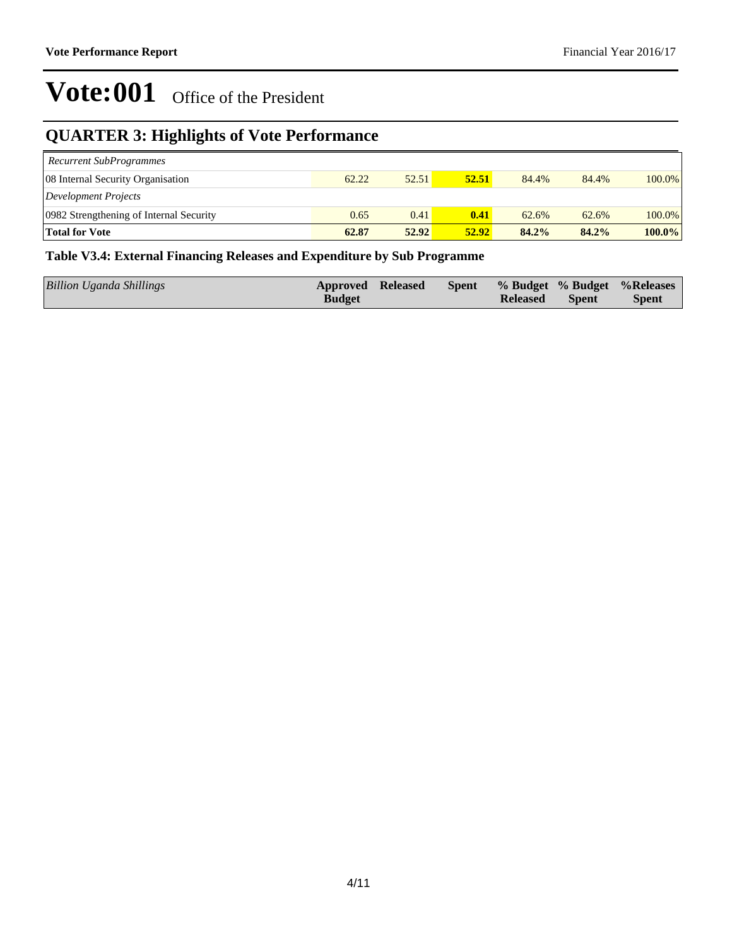## **QUARTER 3: Highlights of Vote Performance**

| <b>Recurrent SubProgrammes</b>          |       |       |       |       |       |           |
|-----------------------------------------|-------|-------|-------|-------|-------|-----------|
| 08 Internal Security Organisation       | 62.22 | 52.51 | 52.51 | 84.4% | 84.4% | $100.0\%$ |
| Development Projects                    |       |       |       |       |       |           |
| 0982 Strengthening of Internal Security | 0.65  | 0.41  | 0.41  | 62.6% | 62.6% | $100.0\%$ |
| <b>Total for Vote</b>                   | 62.87 | 52.92 | 52.92 | 84.2% | 84.2% | $100.0\%$ |

#### **Table V3.4: External Financing Releases and Expenditure by Sub Programme**

| Billion Uganda Shillings | Approved Released |  |                 |              | Spent % Budget % Budget % Releases |
|--------------------------|-------------------|--|-----------------|--------------|------------------------------------|
|                          | <b>Budget</b>     |  | <b>Released</b> | <b>Spent</b> | <b>Spent</b>                       |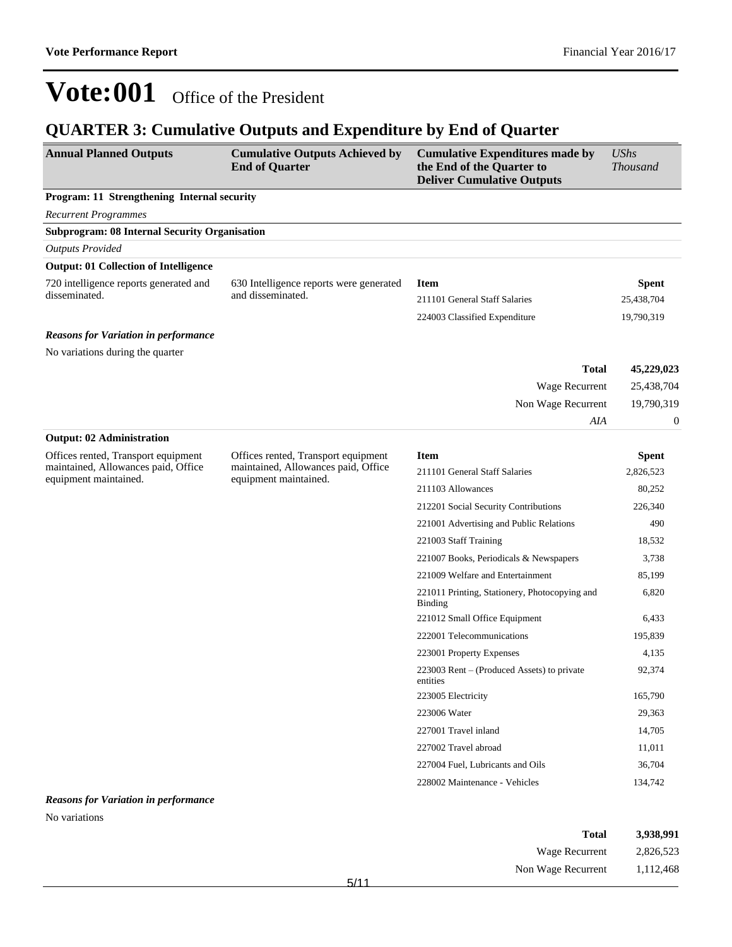### **QUARTER 3: Cumulative Outputs and Expenditure by End of Quarter**

| <b>Annual Planned Outputs</b>                                | <b>Cumulative Outputs Achieved by</b><br><b>End of Quarter</b> | <b>Cumulative Expenditures made by</b><br>the End of the Quarter to<br><b>Deliver Cumulative Outputs</b> | <b>UShs</b><br><b>Thousand</b> |
|--------------------------------------------------------------|----------------------------------------------------------------|----------------------------------------------------------------------------------------------------------|--------------------------------|
| Program: 11 Strengthening Internal security                  |                                                                |                                                                                                          |                                |
| <b>Recurrent Programmes</b>                                  |                                                                |                                                                                                          |                                |
| <b>Subprogram: 08 Internal Security Organisation</b>         |                                                                |                                                                                                          |                                |
| <b>Outputs Provided</b>                                      |                                                                |                                                                                                          |                                |
| <b>Output: 01 Collection of Intelligence</b>                 |                                                                |                                                                                                          |                                |
| 720 intelligence reports generated and                       | 630 Intelligence reports were generated                        | <b>Item</b>                                                                                              | <b>Spent</b>                   |
| disseminated.                                                | and disseminated.                                              | 211101 General Staff Salaries                                                                            | 25,438,704                     |
|                                                              |                                                                | 224003 Classified Expenditure                                                                            | 19,790,319                     |
| <b>Reasons for Variation in performance</b>                  |                                                                |                                                                                                          |                                |
| No variations during the quarter                             |                                                                |                                                                                                          |                                |
|                                                              |                                                                | <b>Total</b>                                                                                             | 45,229,023                     |
|                                                              |                                                                | Wage Recurrent                                                                                           | 25,438,704                     |
|                                                              |                                                                | Non Wage Recurrent                                                                                       | 19,790,319                     |
|                                                              |                                                                | AIA                                                                                                      | $\boldsymbol{0}$               |
| <b>Output: 02 Administration</b>                             |                                                                |                                                                                                          |                                |
| Offices rented, Transport equipment                          | Offices rented, Transport equipment                            | <b>Item</b>                                                                                              | <b>Spent</b>                   |
| maintained, Allowances paid, Office<br>equipment maintained. | maintained, Allowances paid, Office                            | 211101 General Staff Salaries                                                                            | 2,826,523                      |
|                                                              | equipment maintained.                                          | 211103 Allowances                                                                                        | 80,252                         |
|                                                              |                                                                | 212201 Social Security Contributions                                                                     | 226,340                        |
|                                                              |                                                                | 221001 Advertising and Public Relations                                                                  | 490                            |
|                                                              |                                                                | 221003 Staff Training                                                                                    | 18,532                         |
|                                                              |                                                                | 221007 Books, Periodicals & Newspapers                                                                   | 3,738                          |
|                                                              |                                                                | 221009 Welfare and Entertainment                                                                         | 85,199                         |
|                                                              |                                                                | 221011 Printing, Stationery, Photocopying and<br><b>Binding</b>                                          | 6,820                          |
|                                                              |                                                                | 221012 Small Office Equipment                                                                            | 6,433                          |
|                                                              |                                                                | 222001 Telecommunications                                                                                | 195,839                        |
|                                                              |                                                                | 223001 Property Expenses                                                                                 | 4,135                          |
|                                                              |                                                                | $223003$ Rent – (Produced Assets) to private<br>entities                                                 | 92,374                         |
|                                                              |                                                                | 223005 Electricity                                                                                       | 165,790                        |
|                                                              |                                                                | 223006 Water                                                                                             | 29,363                         |
|                                                              |                                                                | 227001 Travel inland                                                                                     | 14,705                         |
|                                                              |                                                                | 227002 Travel abroad                                                                                     | 11,011                         |
|                                                              |                                                                | 227004 Fuel, Lubricants and Oils                                                                         | 36,704                         |
|                                                              |                                                                | 228002 Maintenance - Vehicles                                                                            | 134,742                        |
| <b>Reasons for Variation in performance</b>                  |                                                                |                                                                                                          |                                |
| No variations                                                |                                                                |                                                                                                          |                                |

| 3,938,991 | <b>Total</b>       |
|-----------|--------------------|
| 2,826,523 | Wage Recurrent     |
| 1,112,468 | Non Wage Recurrent |
|           | $-111$             |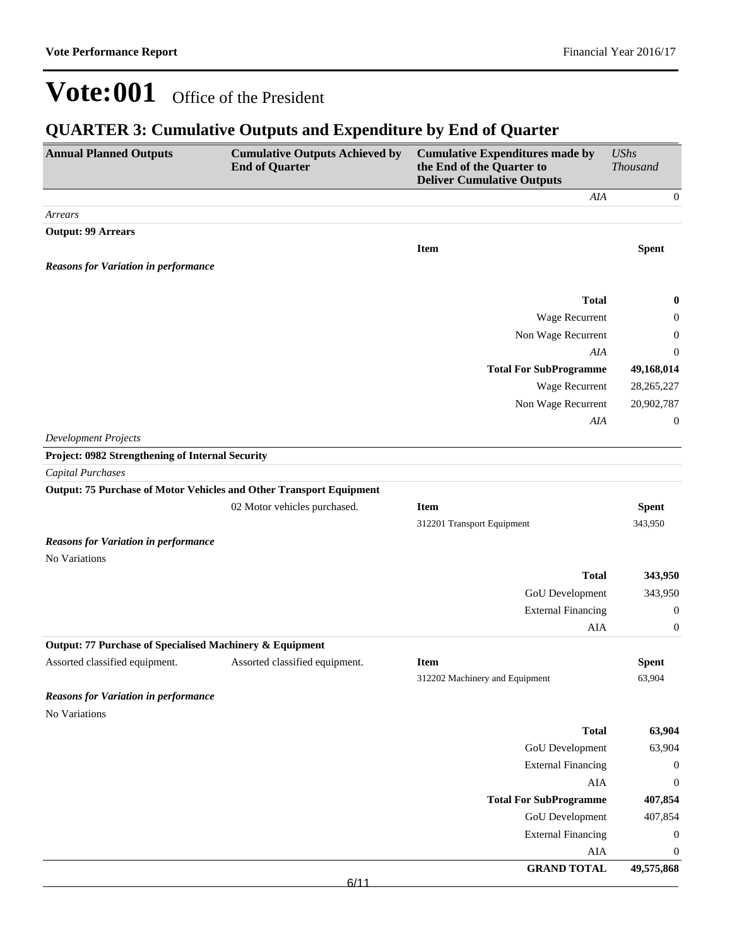### **QUARTER 3: Cumulative Outputs and Expenditure by End of Quarter**

| <b>Annual Planned Outputs</b>                                       | <b>Cumulative Outputs Achieved by</b><br><b>End of Quarter</b> | <b>Cumulative Expenditures made by</b><br>the End of the Quarter to<br><b>Deliver Cumulative Outputs</b> | <b>UShs</b><br>Thousand |
|---------------------------------------------------------------------|----------------------------------------------------------------|----------------------------------------------------------------------------------------------------------|-------------------------|
|                                                                     |                                                                | AIA                                                                                                      | $\boldsymbol{0}$        |
| Arrears                                                             |                                                                |                                                                                                          |                         |
| <b>Output: 99 Arrears</b>                                           |                                                                |                                                                                                          |                         |
|                                                                     |                                                                | <b>Item</b>                                                                                              | <b>Spent</b>            |
| <b>Reasons for Variation in performance</b>                         |                                                                |                                                                                                          |                         |
|                                                                     |                                                                | <b>Total</b>                                                                                             | $\boldsymbol{0}$        |
|                                                                     |                                                                | Wage Recurrent                                                                                           | $\boldsymbol{0}$        |
|                                                                     |                                                                | Non Wage Recurrent                                                                                       | $\boldsymbol{0}$        |
|                                                                     |                                                                | AIA                                                                                                      | $\mathbf{0}$            |
|                                                                     |                                                                | <b>Total For SubProgramme</b>                                                                            | 49,168,014              |
|                                                                     |                                                                | Wage Recurrent                                                                                           | 28, 265, 227            |
|                                                                     |                                                                | Non Wage Recurrent                                                                                       | 20,902,787              |
|                                                                     |                                                                | AIA                                                                                                      | $\boldsymbol{0}$        |
| <b>Development Projects</b>                                         |                                                                |                                                                                                          |                         |
| Project: 0982 Strengthening of Internal Security                    |                                                                |                                                                                                          |                         |
| Capital Purchases                                                   |                                                                |                                                                                                          |                         |
| Output: 75 Purchase of Motor Vehicles and Other Transport Equipment |                                                                |                                                                                                          |                         |
|                                                                     | 02 Motor vehicles purchased.                                   | <b>Item</b>                                                                                              | <b>Spent</b>            |
|                                                                     |                                                                | 312201 Transport Equipment                                                                               | 343,950                 |
| <b>Reasons for Variation in performance</b>                         |                                                                |                                                                                                          |                         |
| No Variations                                                       |                                                                |                                                                                                          |                         |
|                                                                     |                                                                | <b>Total</b>                                                                                             | 343,950                 |
|                                                                     |                                                                | GoU Development                                                                                          | 343,950                 |
|                                                                     |                                                                | <b>External Financing</b>                                                                                | $\boldsymbol{0}$        |
|                                                                     |                                                                | AIA                                                                                                      | $\boldsymbol{0}$        |
| Output: 77 Purchase of Specialised Machinery & Equipment            |                                                                |                                                                                                          |                         |
| Assorted classified equipment.                                      | Assorted classified equipment.                                 | <b>Item</b>                                                                                              | <b>Spent</b>            |
|                                                                     |                                                                | 312202 Machinery and Equipment                                                                           | 63,904                  |
| <b>Reasons for Variation in performance</b>                         |                                                                |                                                                                                          |                         |
| No Variations                                                       |                                                                | <b>Total</b>                                                                                             | 63,904                  |
|                                                                     |                                                                | GoU Development                                                                                          | 63,904                  |
|                                                                     |                                                                | <b>External Financing</b>                                                                                | $\boldsymbol{0}$        |
|                                                                     |                                                                | AIA                                                                                                      | $\boldsymbol{0}$        |
|                                                                     |                                                                | <b>Total For SubProgramme</b>                                                                            | 407,854                 |
|                                                                     |                                                                | GoU Development                                                                                          | 407,854                 |
|                                                                     |                                                                | <b>External Financing</b>                                                                                | $\boldsymbol{0}$        |
|                                                                     |                                                                | AIA                                                                                                      | $\boldsymbol{0}$        |
|                                                                     |                                                                | <b>GRAND TOTAL</b>                                                                                       | 49,575,868              |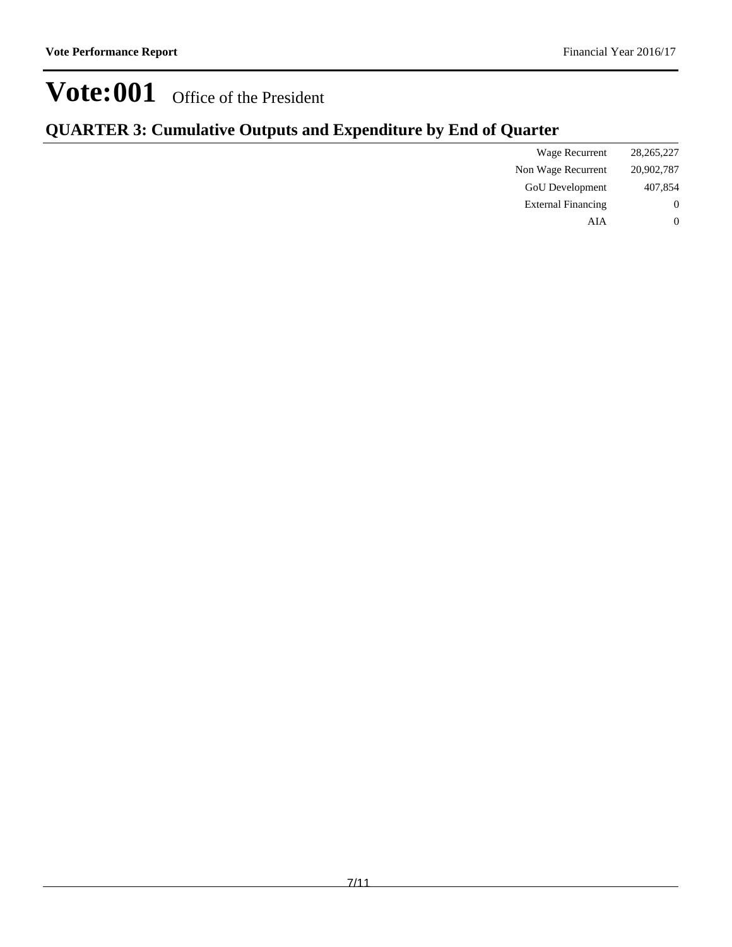### **QUARTER 3: Cumulative Outputs and Expenditure by End of Quarter**

| 28, 265, 227   | Wage Recurrent            |
|----------------|---------------------------|
| 20,902,787     | Non Wage Recurrent        |
| 407,854        | <b>GoU</b> Development    |
| $\overline{0}$ | <b>External Financing</b> |
| $\theta$       | AIA                       |
|                |                           |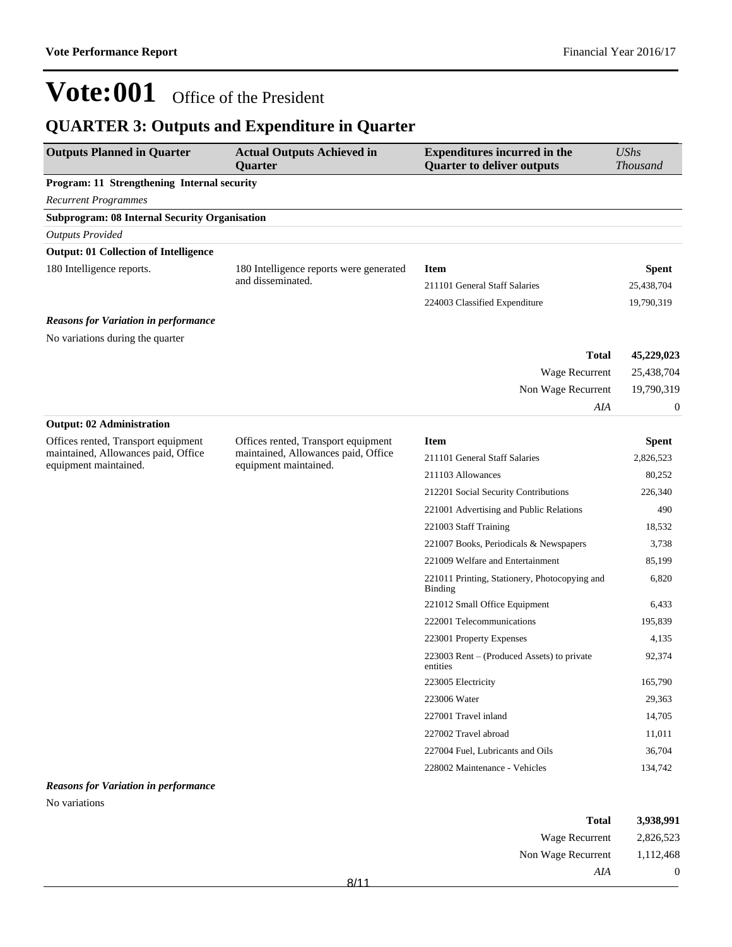## **QUARTER 3: Outputs and Expenditure in Quarter**

| <b>Outputs Planned in Quarter</b>                            | <b>Actual Outputs Achieved in</b><br><b>Quarter</b>          | <b>Expenditures incurred in the</b><br><b>Quarter to deliver outputs</b> | <b>UShs</b><br><b>Thousand</b> |
|--------------------------------------------------------------|--------------------------------------------------------------|--------------------------------------------------------------------------|--------------------------------|
| Program: 11 Strengthening Internal security                  |                                                              |                                                                          |                                |
| <b>Recurrent Programmes</b>                                  |                                                              |                                                                          |                                |
| <b>Subprogram: 08 Internal Security Organisation</b>         |                                                              |                                                                          |                                |
| <b>Outputs Provided</b>                                      |                                                              |                                                                          |                                |
| <b>Output: 01 Collection of Intelligence</b>                 |                                                              |                                                                          |                                |
| 180 Intelligence reports.                                    | 180 Intelligence reports were generated                      | <b>Item</b>                                                              | <b>Spent</b>                   |
|                                                              | and disseminated.                                            | 211101 General Staff Salaries                                            | 25,438,704                     |
|                                                              |                                                              | 224003 Classified Expenditure                                            | 19,790,319                     |
| <b>Reasons for Variation in performance</b>                  |                                                              |                                                                          |                                |
| No variations during the quarter                             |                                                              |                                                                          |                                |
|                                                              |                                                              | <b>Total</b>                                                             | 45,229,023                     |
|                                                              |                                                              | Wage Recurrent                                                           | 25,438,704                     |
|                                                              |                                                              | Non Wage Recurrent                                                       | 19,790,319                     |
|                                                              |                                                              | AIA                                                                      | 0                              |
| <b>Output: 02 Administration</b>                             |                                                              |                                                                          |                                |
| Offices rented, Transport equipment                          | Offices rented, Transport equipment                          | <b>Item</b>                                                              | <b>Spent</b>                   |
| maintained, Allowances paid, Office<br>equipment maintained. | maintained, Allowances paid, Office<br>equipment maintained. | 211101 General Staff Salaries                                            | 2,826,523                      |
|                                                              |                                                              | 211103 Allowances                                                        | 80,252                         |
|                                                              |                                                              | 212201 Social Security Contributions                                     | 226,340                        |
|                                                              |                                                              | 221001 Advertising and Public Relations                                  | 490                            |
|                                                              |                                                              | 221003 Staff Training                                                    | 18,532                         |
|                                                              |                                                              | 221007 Books, Periodicals & Newspapers                                   | 3,738                          |
|                                                              |                                                              | 221009 Welfare and Entertainment                                         | 85,199                         |
|                                                              |                                                              | 221011 Printing, Stationery, Photocopying and<br>Binding                 | 6,820                          |
|                                                              |                                                              | 221012 Small Office Equipment                                            | 6,433                          |
|                                                              |                                                              | 222001 Telecommunications                                                | 195,839                        |
|                                                              |                                                              | 223001 Property Expenses                                                 | 4,135                          |
|                                                              |                                                              | 223003 Rent – (Produced Assets) to private<br>entities                   | 92,374                         |
|                                                              |                                                              | 223005 Electricity                                                       | 165,790                        |
|                                                              |                                                              | 223006 Water                                                             | 29,363                         |
|                                                              |                                                              | 227001 Travel inland                                                     | 14,705                         |
|                                                              |                                                              | 227002 Travel abroad                                                     | 11,011                         |
|                                                              |                                                              | 227004 Fuel, Lubricants and Oils                                         | 36,704                         |
|                                                              |                                                              | 228002 Maintenance - Vehicles                                            | 134,742                        |
| <b>Reasons for Variation in performance</b>                  |                                                              |                                                                          |                                |
| No variations                                                |                                                              |                                                                          |                                |

| 3,938,991 | <b>Total</b>       |  |
|-----------|--------------------|--|
|           |                    |  |
| 2,826,523 | Wage Recurrent     |  |
| 1,112,468 | Non Wage Recurrent |  |
| $\theta$  | AIA                |  |
|           | 8/11               |  |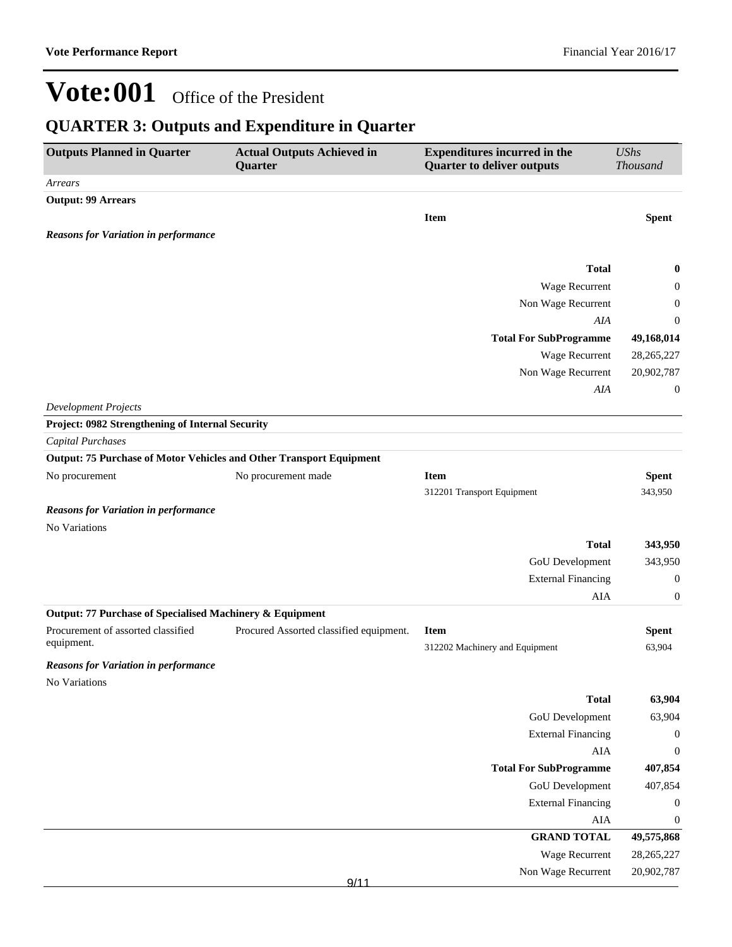## **QUARTER 3: Outputs and Expenditure in Quarter**

| <b>Outputs Planned in Quarter</b>                                   | <b>Actual Outputs Achieved in</b><br>Quarter | <b>Expenditures incurred in the</b><br><b>Quarter to deliver outputs</b> | <b>UShs</b><br><b>Thousand</b> |
|---------------------------------------------------------------------|----------------------------------------------|--------------------------------------------------------------------------|--------------------------------|
| Arrears                                                             |                                              |                                                                          |                                |
| <b>Output: 99 Arrears</b>                                           |                                              |                                                                          |                                |
|                                                                     |                                              | <b>Item</b>                                                              | <b>Spent</b>                   |
| <b>Reasons for Variation in performance</b>                         |                                              |                                                                          |                                |
|                                                                     |                                              |                                                                          |                                |
|                                                                     |                                              | <b>Total</b>                                                             | 0                              |
|                                                                     |                                              | Wage Recurrent                                                           | 0                              |
|                                                                     |                                              | Non Wage Recurrent                                                       | 0                              |
|                                                                     |                                              | AIA                                                                      | 0                              |
|                                                                     |                                              | <b>Total For SubProgramme</b>                                            | 49,168,014                     |
|                                                                     |                                              | Wage Recurrent                                                           | 28, 265, 227                   |
|                                                                     |                                              | Non Wage Recurrent                                                       | 20,902,787                     |
|                                                                     |                                              | AIA                                                                      | 0                              |
| <b>Development Projects</b>                                         |                                              |                                                                          |                                |
| Project: 0982 Strengthening of Internal Security                    |                                              |                                                                          |                                |
| <b>Capital Purchases</b>                                            |                                              |                                                                          |                                |
| Output: 75 Purchase of Motor Vehicles and Other Transport Equipment |                                              |                                                                          |                                |
| No procurement                                                      | No procurement made                          | <b>Item</b>                                                              | <b>Spent</b>                   |
|                                                                     |                                              | 312201 Transport Equipment                                               | 343,950                        |
| <b>Reasons for Variation in performance</b>                         |                                              |                                                                          |                                |
| No Variations                                                       |                                              |                                                                          |                                |
|                                                                     |                                              | <b>Total</b>                                                             | 343,950                        |
|                                                                     |                                              | GoU Development                                                          | 343,950                        |
|                                                                     |                                              | <b>External Financing</b>                                                | $\boldsymbol{0}$               |
|                                                                     |                                              | AIA                                                                      | 0                              |
| Output: 77 Purchase of Specialised Machinery & Equipment            |                                              |                                                                          |                                |
| Procurement of assorted classified                                  | Procured Assorted classified equipment.      | <b>Item</b>                                                              | <b>Spent</b>                   |
| equipment.                                                          |                                              | 312202 Machinery and Equipment                                           | 63,904                         |
| <b>Reasons for Variation in performance</b>                         |                                              |                                                                          |                                |
| No Variations                                                       |                                              |                                                                          |                                |
|                                                                     |                                              | <b>Total</b>                                                             | 63,904                         |
|                                                                     |                                              | <b>GoU</b> Development                                                   | 63,904                         |
|                                                                     |                                              | <b>External Financing</b>                                                | $\boldsymbol{0}$               |
|                                                                     |                                              | ${\rm AIA}$                                                              | $\boldsymbol{0}$               |
|                                                                     |                                              | <b>Total For SubProgramme</b>                                            | 407,854                        |
|                                                                     |                                              | <b>GoU</b> Development                                                   | 407,854                        |
|                                                                     |                                              | <b>External Financing</b>                                                | $\boldsymbol{0}$               |
|                                                                     |                                              | ${\rm AIA}$                                                              | $\boldsymbol{0}$               |
|                                                                     |                                              | <b>GRAND TOTAL</b>                                                       | 49,575,868                     |
|                                                                     |                                              | Wage Recurrent                                                           | 28, 265, 227                   |
|                                                                     |                                              | Non Wage Recurrent                                                       | 20,902,787                     |
|                                                                     | 9/11                                         |                                                                          |                                |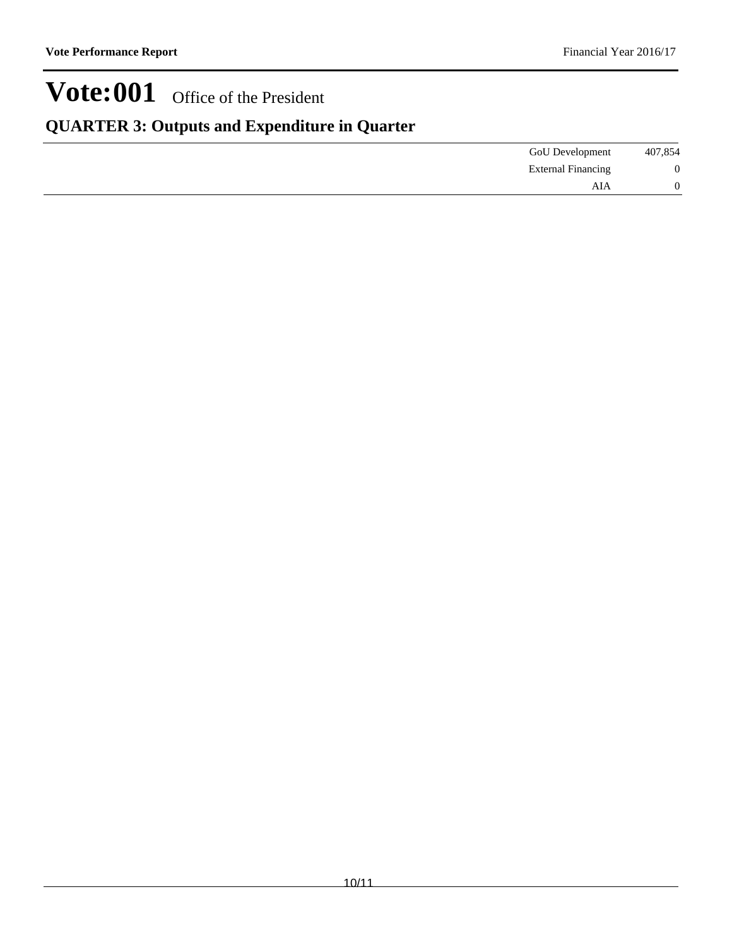## **QUARTER 3: Outputs and Expenditure in Quarter**

| GoU Development           | 407,854 |
|---------------------------|---------|
| <b>External Financing</b> | 0       |
| AIA                       | 0       |